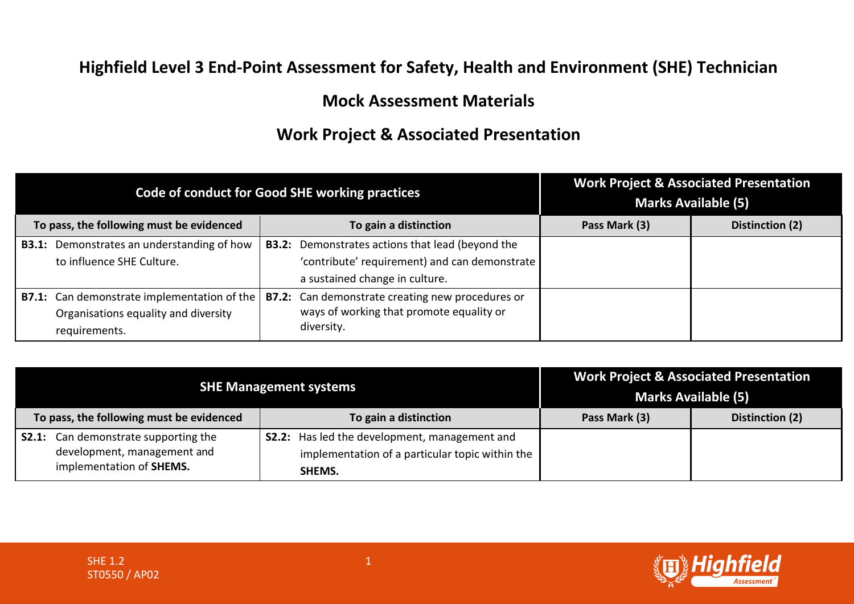## **Highfield Level 3 End-Point Assessment for Safety, Health and Environment (SHE) Technician**

## **Mock Assessment Materials**

## **Work Project & Associated Presentation**

| Code of conduct for Good SHE working practices |                                                                                                             |                                                                                                                                            |               | <b>Work Project &amp; Associated Presentation</b><br><b>Marks Available (5)</b> |
|------------------------------------------------|-------------------------------------------------------------------------------------------------------------|--------------------------------------------------------------------------------------------------------------------------------------------|---------------|---------------------------------------------------------------------------------|
| To pass, the following must be evidenced       |                                                                                                             | To gain a distinction                                                                                                                      | Pass Mark (3) | Distinction (2)                                                                 |
|                                                | <b>B3.1:</b> Demonstrates an understanding of how<br>to influence SHE Culture.                              | <b>B3.2:</b> Demonstrates actions that lead (beyond the<br>'contribute' requirement) and can demonstrate<br>a sustained change in culture. |               |                                                                                 |
|                                                | <b>B7.1:</b> Can demonstrate implementation of the<br>Organisations equality and diversity<br>requirements. | <b>B7.2:</b> Can demonstrate creating new procedures or<br>ways of working that promote equality or<br>diversity.                          |               |                                                                                 |

| <b>SHE Management systems</b>                                                                          |                                                                                                                   | <b>Marks Available (5)</b> | <b>Work Project &amp; Associated Presentation</b> |
|--------------------------------------------------------------------------------------------------------|-------------------------------------------------------------------------------------------------------------------|----------------------------|---------------------------------------------------|
| To pass, the following must be evidenced                                                               | To gain a distinction                                                                                             | Pass Mark (3)              | Distinction (2)                                   |
| <b>S2.1:</b> Can demonstrate supporting the<br>development, management and<br>implementation of SHEMS. | <b>S2.2:</b> Has led the development, management and<br>implementation of a particular topic within the<br>SHEMS. |                            |                                                   |

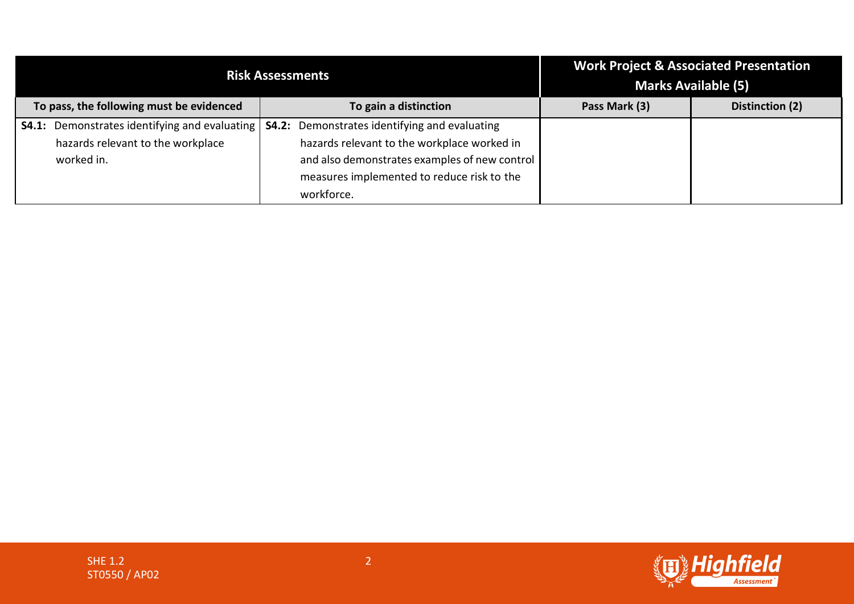| <b>Risk Assessments</b>                  |                                                      |                                                      | <b>Work Project &amp; Associated Presentation</b><br><b>Marks Available (5)</b> |                 |
|------------------------------------------|------------------------------------------------------|------------------------------------------------------|---------------------------------------------------------------------------------|-----------------|
| To pass, the following must be evidenced |                                                      | To gain a distinction                                | Pass Mark (3)                                                                   | Distinction (2) |
|                                          | <b>S4.1:</b> Demonstrates identifying and evaluating | <b>S4.2:</b> Demonstrates identifying and evaluating |                                                                                 |                 |
|                                          | hazards relevant to the workplace                    | hazards relevant to the workplace worked in          |                                                                                 |                 |
|                                          | worked in.                                           | and also demonstrates examples of new control        |                                                                                 |                 |
|                                          |                                                      | measures implemented to reduce risk to the           |                                                                                 |                 |
|                                          |                                                      | workforce.                                           |                                                                                 |                 |

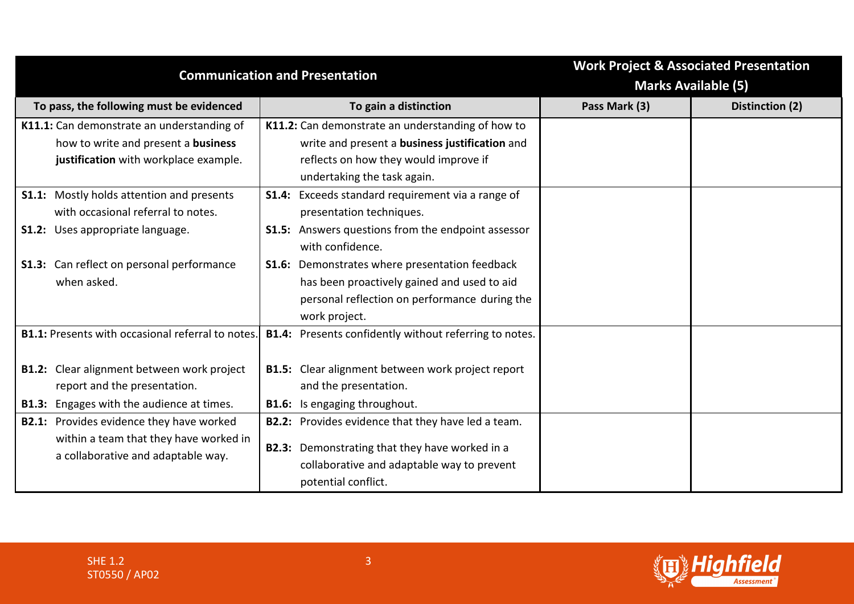| <b>Communication and Presentation</b>                                                                                                 | <b>Work Project &amp; Associated Presentation</b><br><b>Marks Available (5)</b>                                                                                                         |               |                 |
|---------------------------------------------------------------------------------------------------------------------------------------|-----------------------------------------------------------------------------------------------------------------------------------------------------------------------------------------|---------------|-----------------|
| To pass, the following must be evidenced                                                                                              | To gain a distinction                                                                                                                                                                   | Pass Mark (3) | Distinction (2) |
| K11.1: Can demonstrate an understanding of<br>how to write and present a business<br>justification with workplace example.            | K11.2: Can demonstrate an understanding of how to<br>write and present a business justification and<br>reflects on how they would improve if<br>undertaking the task again.             |               |                 |
| <b>S1.1:</b> Mostly holds attention and presents<br>with occasional referral to notes.<br><b>S1.2:</b> Uses appropriate language.     | <b>S1.4:</b> Exceeds standard requirement via a range of<br>presentation techniques.<br><b>S1.5:</b> Answers questions from the endpoint assessor                                       |               |                 |
| <b>S1.3:</b> Can reflect on personal performance<br>when asked.                                                                       | with confidence.<br>S1.6: Demonstrates where presentation feedback<br>has been proactively gained and used to aid<br>personal reflection on performance during the<br>work project.     |               |                 |
| <b>B1.1:</b> Presents with occasional referral to notes.                                                                              | B1.4: Presents confidently without referring to notes.                                                                                                                                  |               |                 |
| <b>B1.2:</b> Clear alignment between work project<br>report and the presentation.<br><b>B1.3:</b> Engages with the audience at times. | <b>B1.5:</b> Clear alignment between work project report<br>and the presentation.<br><b>B1.6:</b> Is engaging throughout.                                                               |               |                 |
| <b>B2.1:</b> Provides evidence they have worked<br>within a team that they have worked in<br>a collaborative and adaptable way.       | <b>B2.2:</b> Provides evidence that they have led a team.<br><b>B2.3:</b> Demonstrating that they have worked in a<br>collaborative and adaptable way to prevent<br>potential conflict. |               |                 |